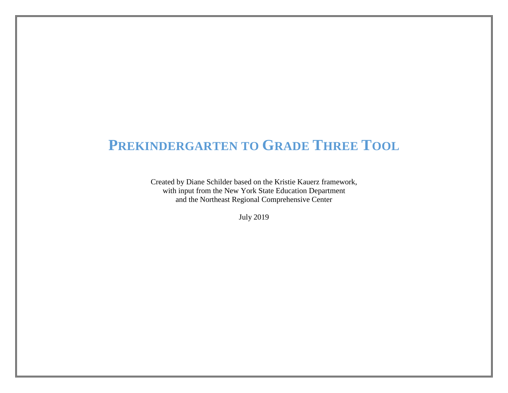# **PREKINDERGARTEN TO GRADE THREE TOOL**

Created by Diane Schilder based on the Kristie Kauerz framework, with input from the New York State Education Department and the Northeast Regional Comprehensive Center

July 2019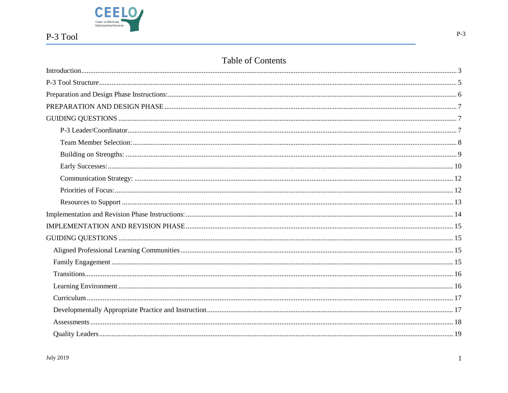

## Table of Contents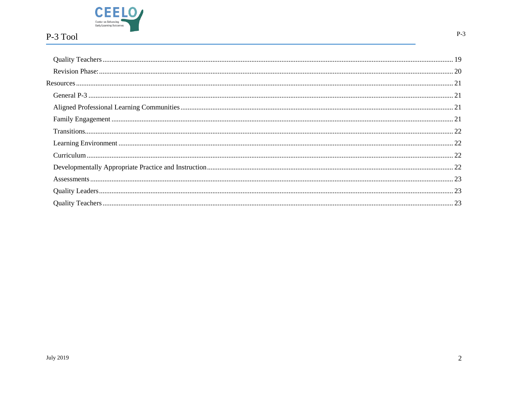

 $\overline{2}$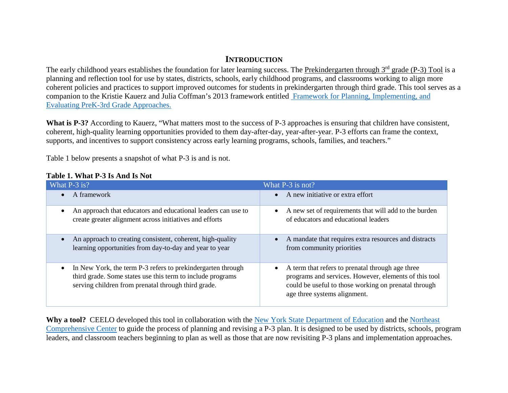## **INTRODUCTION**

<span id="page-3-0"></span>The early childhood years establishes the foundation for later learning success. The Prekindergarten through 3<sup>rd</sup> grade (P-3) Tool is a planning and reflection tool for use by states, districts, schools, early childhood programs, and classrooms working to align more coherent policies and practices to support improved outcomes for students in prekindergarten through third grade. This tool serves as a companion to the Kristie Kauerz and Julia Coffman's 2013 framework entitled [Framework for Planning, Implementing, and](https://depts.washington.edu/pthru3/PreK-3rd_Framework_Legal%20paper.pdf)  [Evaluating PreK-3rd Grade Approaches.](https://depts.washington.edu/pthru3/PreK-3rd_Framework_Legal%20paper.pdf)

What is P-3? According to Kauerz, "What matters most to the success of P-3 approaches is ensuring that children have consistent, coherent, high-quality learning opportunities provided to them day-after-day, year-after-year. P-3 efforts can frame the context, supports, and incentives to support consistency across early learning programs, schools, families, and teachers."

Table 1 below presents a snapshot of what P-3 is and is not.

| What P-3 is?                                                                                                                                                                      | What P-3 is not?                                                                                                                                                                                               |
|-----------------------------------------------------------------------------------------------------------------------------------------------------------------------------------|----------------------------------------------------------------------------------------------------------------------------------------------------------------------------------------------------------------|
| A framework                                                                                                                                                                       | A new initiative or extra effort<br>$\bullet$                                                                                                                                                                  |
| An approach that educators and educational leaders can use to<br>create greater alignment across initiatives and efforts                                                          | A new set of requirements that will add to the burden<br>$\bullet$<br>of educators and educational leaders                                                                                                     |
| An approach to creating consistent, coherent, high-quality<br>learning opportunities from day-to-day and year to year                                                             | A mandate that requires extra resources and distracts<br>from community priorities                                                                                                                             |
| In New York, the term P-3 refers to prekinder garten through<br>third grade. Some states use this term to include programs<br>serving children from prenatal through third grade. | A term that refers to prenatal through age three<br>$\bullet$<br>programs and services. However, elements of this tool<br>could be useful to those working on prenatal through<br>age three systems alignment. |

Why a tool? CEELO developed this tool in collaboration with the [New York State Department of Education](http://www.nysed.gov/) and the Northeast [Comprehensive Center](http://www.northeastcompcenter.org/) to guide the process of planning and revising a P-3 plan. It is designed to be used by districts, schools, program leaders, and classroom teachers beginning to plan as well as those that are now revisiting P-3 plans and implementation approaches.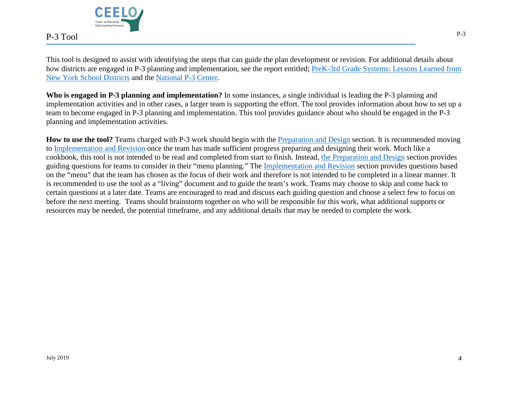

This tool is designed to assist with identifying the steps that can guide the plan development or revision. For additional details about how districts are engaged in P-3 planning and implementation, see the report entitled; PreK-3rd Grade Systems: Lessons Learned from [New York School Districts](http://ceelo.org/wp-content/uploads/2018/08/NY_District_P3-Report_CEELO2018.pdf) and the [National P-3 Center.](http://www.nationalp-3center.org/)

**Who is engaged in P-3 planning and implementation?** In some instances, a single individual is leading the P-3 planning and implementation activities and in other cases, a larger team is supporting the effort. The tool provides information about how to set up a team to become engaged in P-3 planning and implementation. This tool provides guidance about who should be engaged in the P-3 planning and implementation activities.

How to use the tool? Teams charged with P-3 work should begin with the **Preparation and Design** section. It is recommended moving to [Implementation](#page-14-0) and Revision once the team has made sufficient progress preparing and designing their work. Much like a cookbook, this tool is not intended to be read and completed from start to finish. Instead, [the Preparation and Design](#page-7-0) section provides guiding questions for teams to consider in their "menu planning." The [Implementation and Revision](#page-15-0) section provides questions based on the "menu" that the team has chosen as the focus of their work and therefore is not intended to be completed in a linear manner. It is recommended to use the tool as a "living" document and to guide the team's work. Teams may choose to skip and come back to certain questions at a later date. Teams are encouraged to read and discuss each guiding question and choose a select few to focus on before the next meeting. Teams should brainstorm together on who will be responsible for this work, what additional supports or resources may be needed, the potential timeframe, and any additional details that may be needed to complete the work.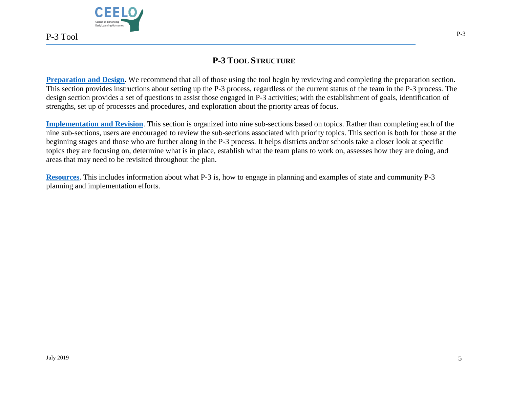

## **P-3 TOOL STRUCTURE**

<span id="page-5-0"></span>**[Preparation and Design.](#page-6-0)** We recommend that all of those using the tool begin by reviewing and completing the preparation section. This section provides instructions about setting up the P-3 process, regardless of the current status of the team in the P-3 process. The design section provides a set of questions to assist those engaged in P-3 activities; with the establishment of goals, identification of strengths, set up of processes and procedures, and exploration about the priority areas of focus.

**[Implementation](#page-14-0) and Revision**. This section is organized into nine sub-sections based on topics. Rather than completing each of the nine sub-sections, users are encouraged to review the sub-sections associated with priority topics. This section is both for those at the beginning stages and those who are further along in the P-3 process. It helps districts and/or schools take a closer look at specific topics they are focusing on, determine what is in place, establish what the team plans to work on, assesses how they are doing, and areas that may need to be revisited throughout the plan.

**[Resources](#page-21-0)**. This includes information about what P-3 is, how to engage in planning and examples of state and community P-3 planning and implementation efforts.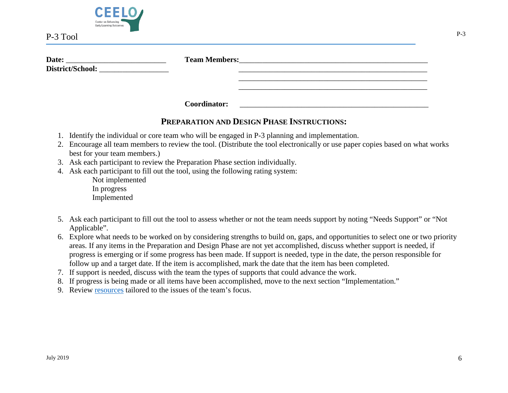

| Date:            | <b>Team Members:</b> |  |
|------------------|----------------------|--|
| District/School: |                      |  |
|                  |                      |  |
|                  |                      |  |

<span id="page-6-0"></span>**Coordinator:** \_\_\_\_\_\_\_\_\_\_\_\_\_\_\_\_\_\_\_\_\_\_\_\_\_\_\_\_\_\_\_\_\_\_\_\_\_\_\_\_\_\_\_\_\_\_\_\_\_

## **PREPARATION AND DESIGN PHASE INSTRUCTIONS:**

- 1. Identify the individual or core team who will be engaged in P-3 planning and implementation.
- 2. Encourage all team members to review the tool. (Distribute the tool electronically or use paper copies based on what works best for your team members.)
- 3. Ask each participant to review the Preparation Phase section individually.
- 4. Ask each participant to fill out the tool, using the following rating system:

Not implemented In progress Implemented

- 5. Ask each participant to fill out the tool to assess whether or not the team needs support by noting "Needs Support" or "Not Applicable".
- 6. Explore what needs to be worked on by considering strengths to build on, gaps, and opportunities to select one or two priority areas. If any items in the Preparation and Design Phase are not yet accomplished, discuss whether support is needed, if progress is emerging or if some progress has been made. If support is needed, type in the date, the person responsible for follow up and a target date. If the item is accomplished, mark the date that the item has been completed.
- 7. If support is needed, discuss with the team the types of supports that could advance the work.
- 8. If progress is being made or all items have been accomplished, move to the next section "Implementation."
- 9. Review [resources](#page-21-0) tailored to the issues of the team's focus.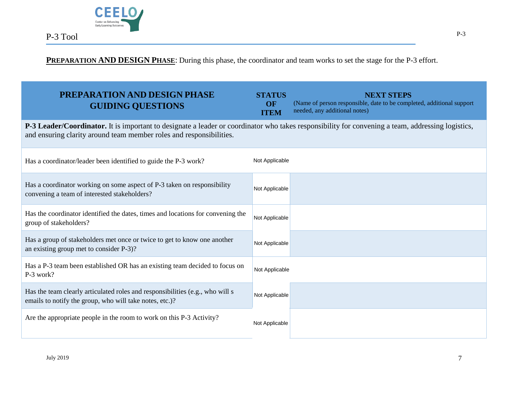

## **PREPARATION AND DESIGN PHASE**: During this phase, the coordinator and team works to set the stage for the P-3 effort.

<span id="page-7-2"></span><span id="page-7-1"></span><span id="page-7-0"></span>

| PREPARATION AND DESIGN PHASE<br><b>GUIDING QUESTIONS</b>                                                                                                                                                                 | <b>STATUS</b><br>OF<br><b>ITEM</b> | <b>NEXT STEPS</b><br>(Name of person responsible, date to be completed, additional support<br>needed, any additional notes) |  |
|--------------------------------------------------------------------------------------------------------------------------------------------------------------------------------------------------------------------------|------------------------------------|-----------------------------------------------------------------------------------------------------------------------------|--|
| P-3 Leader/Coordinator. It is important to designate a leader or coordinator who takes responsibility for convening a team, addressing logistics,<br>and ensuring clarity around team member roles and responsibilities. |                                    |                                                                                                                             |  |
| Has a coordinator/leader been identified to guide the P-3 work?                                                                                                                                                          | Not Applicable                     |                                                                                                                             |  |
| Has a coordinator working on some aspect of P-3 taken on responsibility<br>convening a team of interested stakeholders?                                                                                                  | Not Applicable                     |                                                                                                                             |  |
| Has the coordinator identified the dates, times and locations for convening the<br>group of stakeholders?                                                                                                                | Not Applicable                     |                                                                                                                             |  |
| Has a group of stakeholders met once or twice to get to know one another<br>an existing group met to consider P-3)?                                                                                                      | Not Applicable                     |                                                                                                                             |  |
| Has a P-3 team been established OR has an existing team decided to focus on<br>P-3 work?                                                                                                                                 | Not Applicable                     |                                                                                                                             |  |
| Has the team clearly articulated roles and responsibilities (e.g., who will s<br>emails to notify the group, who will take notes, etc.)?                                                                                 | Not Applicable                     |                                                                                                                             |  |
| Are the appropriate people in the room to work on this P-3 Activity?                                                                                                                                                     | Not Applicable                     |                                                                                                                             |  |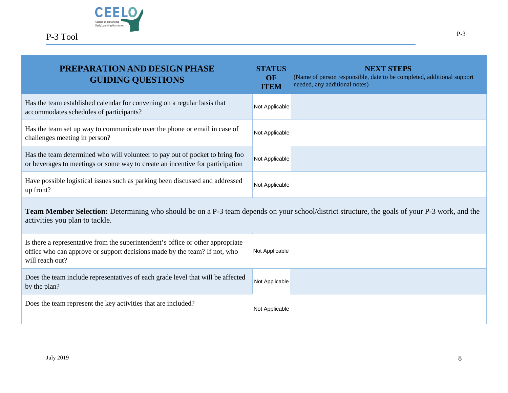

<span id="page-8-0"></span>

| <b>PREPARATION AND DESIGN PHASE</b><br><b>GUIDING QUESTIONS</b>                                                                                                                 | <b>STATUS</b><br>OF<br><b>ITEM</b> | <b>NEXT STEPS</b><br>(Name of person responsible, date to be completed, additional support<br>needed, any additional notes) |  |
|---------------------------------------------------------------------------------------------------------------------------------------------------------------------------------|------------------------------------|-----------------------------------------------------------------------------------------------------------------------------|--|
| Has the team established calendar for convening on a regular basis that<br>accommodates schedules of participants?                                                              | Not Applicable                     |                                                                                                                             |  |
| Has the team set up way to communicate over the phone or email in case of<br>challenges meeting in person?                                                                      | Not Applicable                     |                                                                                                                             |  |
| Has the team determined who will volunteer to pay out of pocket to bring foo<br>or beverages to meetings or some way to create an incentive for participation                   | Not Applicable                     |                                                                                                                             |  |
| Have possible logistical issues such as parking been discussed and addressed<br>up front?                                                                                       | Not Applicable                     |                                                                                                                             |  |
| Team Member Selection: Determining who should be on a P-3 team depends on your school/district structure, the goals of your P-3 work, and the<br>activities you plan to tackle. |                                    |                                                                                                                             |  |
| Is there a representative from the superintendent's office or other appropriate<br>office who can approve or support decisions made by the team? If not, who<br>will reach out? | Not Applicable                     |                                                                                                                             |  |
| Does the team include representatives of each grade level that will be affected<br>by the plan?                                                                                 | Not Applicable                     |                                                                                                                             |  |
| Does the team represent the key activities that are included?                                                                                                                   | Not Applicable                     |                                                                                                                             |  |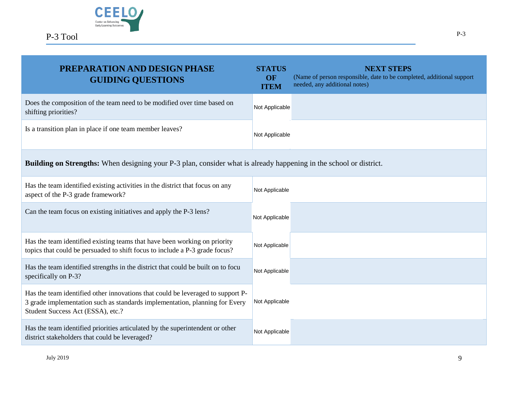

<span id="page-9-0"></span>

| PREPARATION AND DESIGN PHASE<br><b>GUIDING QUESTIONS</b>                                                                                                                                            | <b>STATUS</b><br>OF<br><b>ITEM</b> | <b>NEXT STEPS</b><br>(Name of person responsible, date to be completed, additional support<br>needed, any additional notes) |
|-----------------------------------------------------------------------------------------------------------------------------------------------------------------------------------------------------|------------------------------------|-----------------------------------------------------------------------------------------------------------------------------|
| Does the composition of the team need to be modified over time based on<br>shifting priorities?                                                                                                     | Not Applicable                     |                                                                                                                             |
| Is a transition plan in place if one team member leaves?                                                                                                                                            | Not Applicable                     |                                                                                                                             |
| <b>Building on Strengths:</b> When designing your P-3 plan, consider what is already happening in the school or district.                                                                           |                                    |                                                                                                                             |
| Has the team identified existing activities in the district that focus on any<br>aspect of the P-3 grade framework?                                                                                 | Not Applicable                     |                                                                                                                             |
| Can the team focus on existing initiatives and apply the P-3 lens?                                                                                                                                  | Not Applicable                     |                                                                                                                             |
| Has the team identified existing teams that have been working on priority<br>topics that could be persuaded to shift focus to include a P-3 grade focus?                                            | Not Applicable                     |                                                                                                                             |
| Has the team identified strengths in the district that could be built on to focu<br>specifically on P-3?                                                                                            | Not Applicable                     |                                                                                                                             |
| Has the team identified other innovations that could be leveraged to support P-<br>3 grade implementation such as standards implementation, planning for Every<br>Student Success Act (ESSA), etc.? | Not Applicable                     |                                                                                                                             |
| Has the team identified priorities articulated by the superintendent or other<br>district stakeholders that could be leveraged?                                                                     | Not Applicable                     |                                                                                                                             |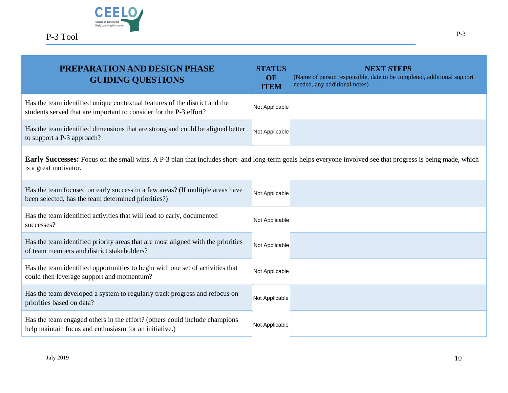

<span id="page-10-0"></span>

| PREPARATION AND DESIGN PHASE<br><b>GUIDING QUESTIONS</b>                                                                                                                              | <b>STATUS</b><br>OF<br><b>ITEM</b> | <b>NEXT STEPS</b><br>(Name of person responsible, date to be completed, additional support<br>needed, any additional notes) |
|---------------------------------------------------------------------------------------------------------------------------------------------------------------------------------------|------------------------------------|-----------------------------------------------------------------------------------------------------------------------------|
| Has the team identified unique contextual features of the district and the<br>students served that are important to consider for the P-3 effort?                                      | Not Applicable                     |                                                                                                                             |
| Has the team identified dimensions that are strong and could be aligned better<br>to support a P-3 approach?                                                                          | Not Applicable                     |                                                                                                                             |
| Early Successes: Focus on the small wins. A P-3 plan that includes short- and long-term goals helps everyone involved see that progress is being made, which<br>is a great motivator. |                                    |                                                                                                                             |
| Has the team focused on early success in a few areas? (If multiple areas have<br>been selected, has the team determined priorities?)                                                  | Not Applicable                     |                                                                                                                             |
| Has the team identified activities that will lead to early, documented<br>successes?                                                                                                  | Not Applicable                     |                                                                                                                             |
| Has the team identified priority areas that are most aligned with the priorities<br>of team members and district stakeholders?                                                        | Not Applicable                     |                                                                                                                             |
| Has the team identified opportunities to begin with one set of activities that<br>could then leverage support and momentum?                                                           | Not Applicable                     |                                                                                                                             |
| Has the team developed a system to regularly track progress and refocus on<br>priorities based on data?                                                                               | Not Applicable                     |                                                                                                                             |
| Has the team engaged others in the effort? (others could include champions<br>help maintain focus and enthusiasm for an initiative.)                                                  | Not Applicable                     |                                                                                                                             |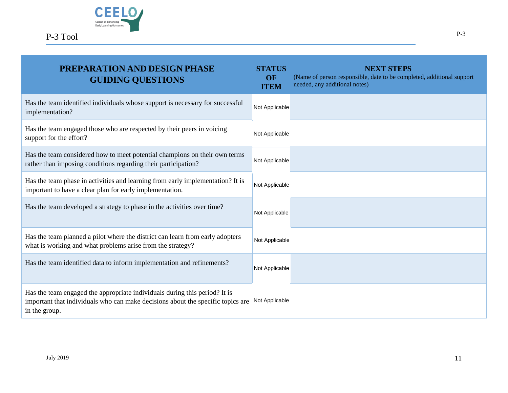

| <b>PREPARATION AND DESIGN PHASE</b><br><b>GUIDING QUESTIONS</b>                                                                                                                | <b>STATUS</b><br>OF<br><b>ITEM</b> | <b>NEXT STEPS</b><br>(Name of person responsible, date to be completed, additional support<br>needed, any additional notes) |
|--------------------------------------------------------------------------------------------------------------------------------------------------------------------------------|------------------------------------|-----------------------------------------------------------------------------------------------------------------------------|
| Has the team identified individuals whose support is necessary for successful<br>implementation?                                                                               | Not Applicable                     |                                                                                                                             |
| Has the team engaged those who are respected by their peers in voicing<br>support for the effort?                                                                              | Not Applicable                     |                                                                                                                             |
| Has the team considered how to meet potential champions on their own terms<br>rather than imposing conditions regarding their participation?                                   | Not Applicable                     |                                                                                                                             |
| Has the team phase in activities and learning from early implementation? It is<br>important to have a clear plan for early implementation.                                     | Not Applicable                     |                                                                                                                             |
| Has the team developed a strategy to phase in the activities over time?                                                                                                        | Not Applicable                     |                                                                                                                             |
| Has the team planned a pilot where the district can learn from early adopters<br>what is working and what problems arise from the strategy?                                    | Not Applicable                     |                                                                                                                             |
| Has the team identified data to inform implementation and refinements?                                                                                                         | Not Applicable                     |                                                                                                                             |
| Has the team engaged the appropriate individuals during this period? It is<br>important that individuals who can make decisions about the specific topics are<br>in the group. | Not Applicable                     |                                                                                                                             |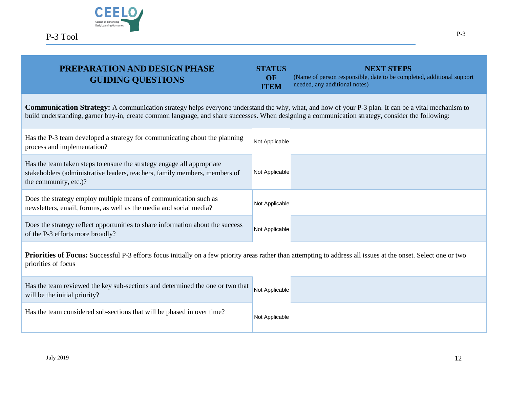

P-3

#### **PREPARATION AND DESIGN PHASE GUIDING QUESTIONS STATUS OF ITEM NEXT STEPS** (Name of person responsible, date to be completed, additional support needed, any additional notes)

<span id="page-12-0"></span>

| <b>Communication Strategy:</b> A communication strategy helps everyone understand the why, what, and how of your P-3 plan. It can be a vital mechanism to<br>build understanding, garner buy-in, create common language, and share successes. When designing a communication strategy, consider the following: |                |
|----------------------------------------------------------------------------------------------------------------------------------------------------------------------------------------------------------------------------------------------------------------------------------------------------------------|----------------|
| Has the P-3 team developed a strategy for communicating about the planning<br>process and implementation?                                                                                                                                                                                                      | Not Applicable |
| Has the team taken steps to ensure the strategy engage all appropriate<br>stakeholders (administrative leaders, teachers, family members, members of<br>the community, etc.)?                                                                                                                                  | Not Applicable |
| Does the strategy employ multiple means of communication such as<br>newsletters, email, forums, as well as the media and social media?                                                                                                                                                                         | Not Applicable |
| Does the strategy reflect opportunities to share information about the success                                                                                                                                                                                                                                 | Not Applicable |

<span id="page-12-1"></span>Priorities of Focus: Successful P-3 efforts focus initially on a few priority areas rather than attempting to address all issues at the onset. Select one or two priorities of focus

| Has the team reviewed the key sub-sections and determined the one or two that Not Applicable<br>will be the initial priority? |                |  |
|-------------------------------------------------------------------------------------------------------------------------------|----------------|--|
| Has the team considered sub-sections that will be phased in over time?                                                        | Not Applicable |  |

of the P-3 efforts more broadly?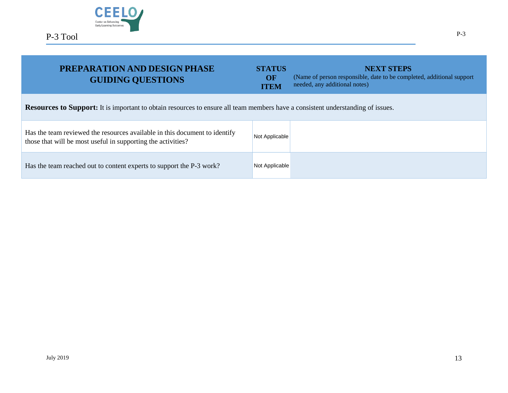

<span id="page-13-0"></span>

| PREPARATION AND DESIGN PHASE<br><b>GUIDING QUESTIONS</b>                                                                                   | <b>STATUS</b><br>OF<br><b>ITEM</b> | <b>NEXT STEPS</b><br>(Name of person responsible, date to be completed, additional support<br>needed, any additional notes) |  |
|--------------------------------------------------------------------------------------------------------------------------------------------|------------------------------------|-----------------------------------------------------------------------------------------------------------------------------|--|
| <b>Resources to Support:</b> It is important to obtain resources to ensure all team members have a consistent understanding of issues.     |                                    |                                                                                                                             |  |
| Has the team reviewed the resources available in this document to identify<br>those that will be most useful in supporting the activities? | Not Applicable                     |                                                                                                                             |  |
| Has the team reached out to content experts to support the P-3 work?                                                                       | Not Applicable                     |                                                                                                                             |  |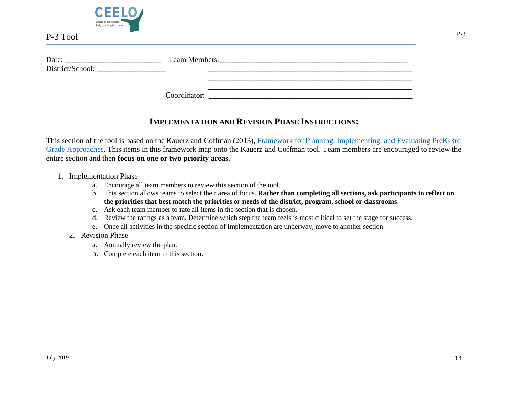

| Date:            | <b>Team Members:</b> |  |
|------------------|----------------------|--|
| District/School: |                      |  |
|                  |                      |  |
|                  |                      |  |

Coordinator:

## **IMPLEMENTATION AND REVISION PHASE INSTRUCTIONS:**

<span id="page-14-0"></span>This section of the tool is based on the Kauerz and Coffman (2013), [Framework for Planning, Implementing, and Evaluating PreK-3rd](https://depts.washington.edu/pthru3/PreK-3rd_Framework_Legal%20paper.pdf)  [Grade Approaches.](https://depts.washington.edu/pthru3/PreK-3rd_Framework_Legal%20paper.pdf) This items in this framework map onto the Kauerz and Coffman tool. Team members are encouraged to review the entire section and then **focus on one or two priority areas**.

- 1. Implementation Phase
	- a. Encourage all team members to review this section of the tool.
	- b. This section allows teams to select their area of focus. **Rather than completing all sections, ask participants to reflect on the priorities that best match the priorities or needs of the district, program, school or classrooms**.
	- c. Ask each team member to rate all items in the section that is chosen.
	- d. Review the ratings as a team. Determine which step the team feels is most critical to set the stage for success.
	- e. Once all activities in the specific section of Implementation are underway, move to another section.
	- 2. Revision Phase
		- a. Annually review the plan.
		- b. Complete each item in this section.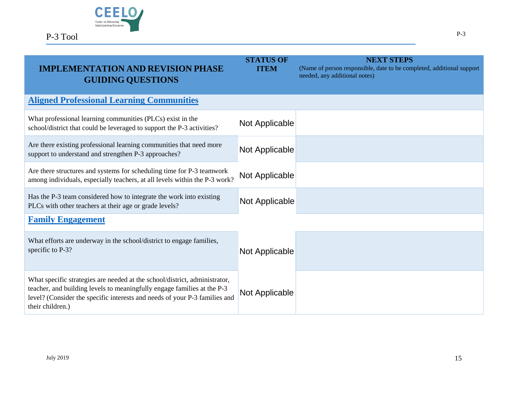

<span id="page-15-3"></span><span id="page-15-2"></span><span id="page-15-1"></span><span id="page-15-0"></span>

| <b>IMPLEMENTATION AND REVISION PHASE</b><br><b>GUIDING QUESTIONS</b>                                                                                                                                                                                    | <b>STATUS OF</b><br><b>ITEM</b> | <b>NEXT STEPS</b><br>(Name of person responsible, date to be completed, additional support<br>needed, any additional notes) |
|---------------------------------------------------------------------------------------------------------------------------------------------------------------------------------------------------------------------------------------------------------|---------------------------------|-----------------------------------------------------------------------------------------------------------------------------|
| <b>Aligned Professional Learning Communities</b>                                                                                                                                                                                                        |                                 |                                                                                                                             |
| What professional learning communities (PLCs) exist in the<br>school/district that could be leveraged to support the P-3 activities?                                                                                                                    | Not Applicable                  |                                                                                                                             |
| Are there existing professional learning communities that need more<br>support to understand and strengthen P-3 approaches?                                                                                                                             | Not Applicable                  |                                                                                                                             |
| Are there structures and systems for scheduling time for P-3 teamwork<br>among individuals, especially teachers, at all levels within the P-3 work?                                                                                                     | Not Applicable                  |                                                                                                                             |
| Has the P-3 team considered how to integrate the work into existing<br>PLCs with other teachers at their age or grade levels?                                                                                                                           | Not Applicable                  |                                                                                                                             |
| <b>Family Engagement</b>                                                                                                                                                                                                                                |                                 |                                                                                                                             |
| What efforts are underway in the school/district to engage families,<br>specific to P-3?                                                                                                                                                                | Not Applicable                  |                                                                                                                             |
| What specific strategies are needed at the school/district, administrator,<br>teacher, and building levels to meaningfully engage families at the P-3<br>level? (Consider the specific interests and needs of your P-3 families and<br>their children.) | Not Applicable                  |                                                                                                                             |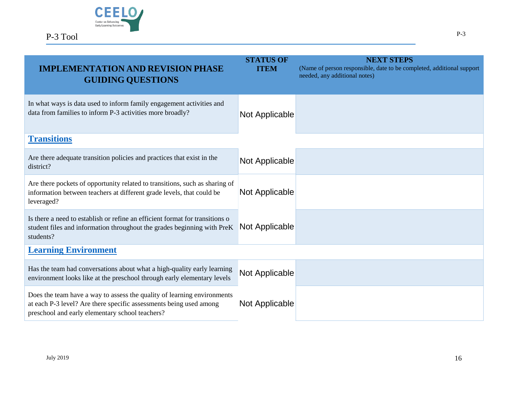

<span id="page-16-1"></span><span id="page-16-0"></span>

| <b>IMPLEMENTATION AND REVISION PHASE</b><br><b>GUIDING QUESTIONS</b>                                                                                                                             | <b>STATUS OF</b><br><b>ITEM</b> | <b>NEXT STEPS</b><br>(Name of person responsible, date to be completed, additional support<br>needed, any additional notes) |
|--------------------------------------------------------------------------------------------------------------------------------------------------------------------------------------------------|---------------------------------|-----------------------------------------------------------------------------------------------------------------------------|
| In what ways is data used to inform family engagement activities and<br>data from families to inform P-3 activities more broadly?                                                                | Not Applicable                  |                                                                                                                             |
| <b>Transitions</b>                                                                                                                                                                               |                                 |                                                                                                                             |
| Are there adequate transition policies and practices that exist in the<br>district?                                                                                                              | Not Applicable                  |                                                                                                                             |
| Are there pockets of opportunity related to transitions, such as sharing of<br>information between teachers at different grade levels, that could be<br>leveraged?                               | Not Applicable                  |                                                                                                                             |
| Is there a need to establish or refine an efficient format for transitions of<br>student files and information throughout the grades beginning with PreK<br>students?                            | Not Applicable                  |                                                                                                                             |
| <b>Learning Environment</b>                                                                                                                                                                      |                                 |                                                                                                                             |
| Has the team had conversations about what a high-quality early learning<br>environment looks like at the preschool through early elementary levels                                               | Not Applicable                  |                                                                                                                             |
| Does the team have a way to assess the quality of learning environments<br>at each P-3 level? Are there specific assessments being used among<br>preschool and early elementary school teachers? | Not Applicable                  |                                                                                                                             |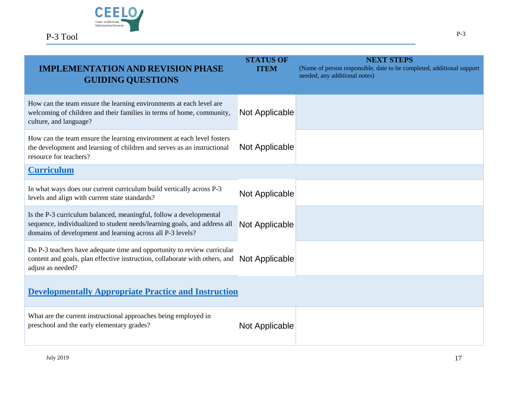

<span id="page-17-1"></span><span id="page-17-0"></span>

| <b>IMPLEMENTATION AND REVISION PHASE</b><br><b>GUIDING QUESTIONS</b>                                                                                                                                          | <b>STATUS OF</b><br><b>ITEM</b> | <b>NEXT STEPS</b><br>(Name of person responsible, date to be completed, additional support<br>needed, any additional notes) |
|---------------------------------------------------------------------------------------------------------------------------------------------------------------------------------------------------------------|---------------------------------|-----------------------------------------------------------------------------------------------------------------------------|
| How can the team ensure the learning environments at each level are<br>welcoming of children and their families in terms of home, community,<br>culture, and language?                                        | Not Applicable                  |                                                                                                                             |
| How can the team ensure the learning environment at each level fosters<br>the development and learning of children and serves as an instructional<br>resource for teachers?                                   | Not Applicable                  |                                                                                                                             |
| <b>Curriculum</b>                                                                                                                                                                                             |                                 |                                                                                                                             |
| In what ways does our current curriculum build vertically across P-3<br>levels and align with current state standards?                                                                                        | Not Applicable                  |                                                                                                                             |
| Is the P-3 curriculum balanced, meaningful, follow a developmental<br>sequence, individualized to student needs/learning goals, and address all<br>domains of development and learning across all P-3 levels? | Not Applicable                  |                                                                                                                             |
| Do P-3 teachers have adequate time and opportunity to review curricular<br>content and goals, plan effective instruction, collaborate with others, and<br>adjust as needed?                                   | Not Applicable                  |                                                                                                                             |
| <b>Developmentally Appropriate Practice and Instruction</b>                                                                                                                                                   |                                 |                                                                                                                             |
| What are the current instructional approaches being employed in<br>preschool and the early elementary grades?                                                                                                 | Not Applicable                  |                                                                                                                             |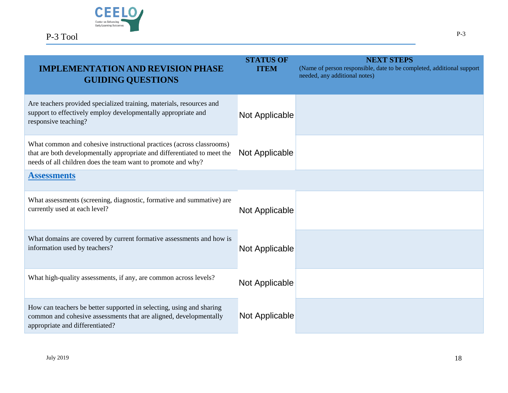

<span id="page-18-0"></span>

| <b>IMPLEMENTATION AND REVISION PHASE</b><br><b>GUIDING QUESTIONS</b>                                                                                                                                             | <b>STATUS OF</b><br><b>ITEM</b> | <b>NEXT STEPS</b><br>(Name of person responsible, date to be completed, additional support<br>needed, any additional notes) |
|------------------------------------------------------------------------------------------------------------------------------------------------------------------------------------------------------------------|---------------------------------|-----------------------------------------------------------------------------------------------------------------------------|
| Are teachers provided specialized training, materials, resources and<br>support to effectively employ developmentally appropriate and<br>responsive teaching?                                                    | Not Applicable                  |                                                                                                                             |
| What common and cohesive instructional practices (across classrooms)<br>that are both developmentally appropriate and differentiated to meet the<br>needs of all children does the team want to promote and why? | Not Applicable                  |                                                                                                                             |
| <b>Assessments</b>                                                                                                                                                                                               |                                 |                                                                                                                             |
| What assessments (screening, diagnostic, formative and summative) are<br>currently used at each level?                                                                                                           | Not Applicable                  |                                                                                                                             |
| What domains are covered by current formative assessments and how is<br>information used by teachers?                                                                                                            | Not Applicable                  |                                                                                                                             |
| What high-quality assessments, if any, are common across levels?                                                                                                                                                 | Not Applicable                  |                                                                                                                             |
| How can teachers be better supported in selecting, using and sharing<br>common and cohesive assessments that are aligned, developmentally<br>appropriate and differentiated?                                     | Not Applicable                  |                                                                                                                             |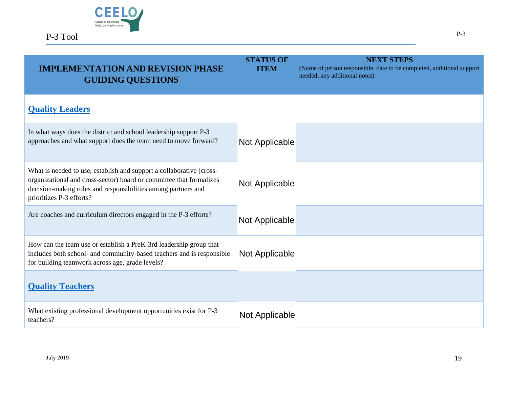

<span id="page-19-1"></span><span id="page-19-0"></span>

| <b>PLEMENTATION AND REVISION PHASE</b><br><b>GUIDING QUESTIONS</b>                                                                                                                                                                       | <b>STATUS OF</b><br><b>ITEM</b> | <b>NEXT STEPS</b><br>(Name of person responsible, date to be completed, additional support<br>needed, any additional notes) |
|------------------------------------------------------------------------------------------------------------------------------------------------------------------------------------------------------------------------------------------|---------------------------------|-----------------------------------------------------------------------------------------------------------------------------|
| <b>Quality Leaders</b>                                                                                                                                                                                                                   |                                 |                                                                                                                             |
| In what ways does the district and school leadership support P-3<br>approaches and what support does the team need to move forward?                                                                                                      | Not Applicable                  |                                                                                                                             |
| What is needed to use, establish and support a collaborative (cross-<br>organizational and cross-sector) board or committee that formalizes<br>decision-making roles and responsibilities among partners and<br>prioritizes P-3 efforts? | Not Applicable                  |                                                                                                                             |
| Are coaches and curriculum directors engaged in the P-3 efforts?                                                                                                                                                                         | Not Applicable                  |                                                                                                                             |
| How can the team use or establish a PreK-3rd leadership group that<br>includes both school- and community-based teachers and is responsible<br>for building teamwork across age, grade levels?                                           | Not Applicable                  |                                                                                                                             |
| <b>Quality Teachers</b>                                                                                                                                                                                                                  |                                 |                                                                                                                             |
| What existing professional development opportunities exist for P-3<br>teachers?                                                                                                                                                          | Not Applicable                  |                                                                                                                             |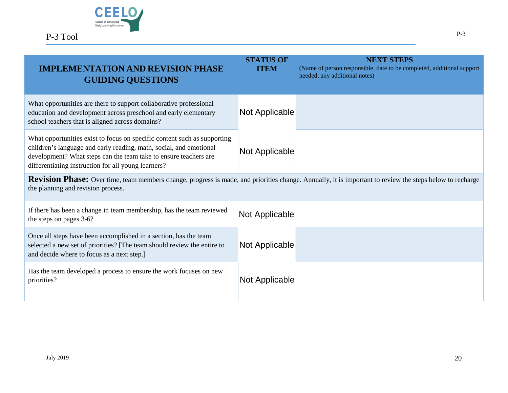

<span id="page-20-0"></span>

| <b>IMPLEMENTATION AND REVISION PHASE</b><br><b>GUIDING QUESTIONS</b>                                                                                                                                                                                                      | <b>STATUS OF</b><br><b>ITEM</b> | <b>NEXT STEPS</b><br>(Name of person responsible, date to be completed, additional support<br>needed, any additional notes) |
|---------------------------------------------------------------------------------------------------------------------------------------------------------------------------------------------------------------------------------------------------------------------------|---------------------------------|-----------------------------------------------------------------------------------------------------------------------------|
| What opportunities are there to support collaborative professional<br>education and development across preschool and early elementary<br>school teachers that is aligned across domains?                                                                                  | Not Applicable                  |                                                                                                                             |
| What opportunities exist to focus on specific content such as supporting<br>children's language and early reading, math, social, and emotional<br>development? What steps can the team take to ensure teachers are<br>differentiating instruction for all young learners? | Not Applicable                  |                                                                                                                             |
| Revision Phase: Over time, team members change, progress is made, and priorities change. Annually, it is important to review the steps below to recharge<br>the planning and revision process.                                                                            |                                 |                                                                                                                             |
| If there has been a change in team membership, has the team reviewed<br>the steps on pages 3-6?                                                                                                                                                                           | Not Applicable                  |                                                                                                                             |
| Once all steps have been accomplished in a section, has the team<br>selected a new set of priorities? [The team should review the entire to<br>and decide where to focus as a next step.]                                                                                 | Not Applicable                  |                                                                                                                             |
| Has the team developed a process to ensure the work focuses on new<br>priorities?                                                                                                                                                                                         | Not Applicable                  |                                                                                                                             |

P-3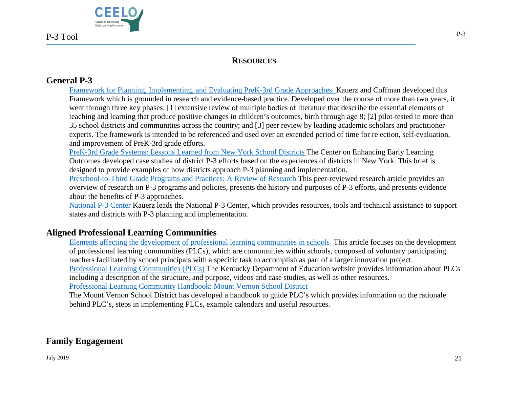

## **RESOURCES**

## <span id="page-21-1"></span><span id="page-21-0"></span>**General P-3**

[Framework for Planning, Implementing, and Evaluating PreK-3rd Grade Approaches.](https://depts.washington.edu/pthru3/PreK-3rd_Framework_Legal%20paper.pdf) Kauerz and Coffman developed this Framework which is grounded in research and evidence-based practice. Developed over the course of more than two years, it went through three key phases: [1] extensive review of multiple bodies of literature that describe the essential elements of teaching and learning that produce positive changes in children's outcomes, birth through age 8; [2] pilot-tested in more than 35 school districts and communities across the country; and [3] peer review by leading academic scholars and practitionerexperts. The framework is intended to be referenced and used over an extended period of time for re ection, self-evaluation, and improvement of PreK-3rd grade efforts.

[PreK-3rd Grade Systems: Lessons Learned from New York School Districts](http://ceelo.org/wp-content/uploads/2018/08/NY_District_P3-Report_CEELO2018.pdf) The Center on Enhancing Early Learning Outcomes developed case studies of district P-3 efforts based on the experiences of districts in New York. This brief is designed to provide examples of how districts approach P-3 planning and implementation.

[Preschool-to-Third Grade Programs and Practices: A Review of Research](https://www.ncbi.nlm.nih.gov/pmc/articles/PMC5033058/) This peer-reviewed research article provides an overview of research on P-3 programs and policies, presents the history and purposes of P-3 efforts, and presents evidence about the benefits of P-3 approaches.

[National P-3 Center](https://sehd.ucdenver.edu/pthru3/) Kauerz leads the National P-3 Center, which provides resources, tools and technical assistance to support states and districts with P-3 planning and implementation.

## <span id="page-21-2"></span>**Aligned Professional Learning Communities**

[Elements affecting the development of professional learning communities in schools](https://link.springer.com/article/10.1007/s10984-017-9244-y) This article focuses on the development of professional learning communities (PLCs), which are communities within schools, composed of voluntary participating teachers facilitated by school principals with a specific task to accomplish as part of a larger innovation project. [Professional Learning Communities \(PLCs\)](https://education.ky.gov/school/stratclsgap/Pages/plc.aspx) The Kentucky Department of Education website provides information about PLCs including a description of the structure, and purpose, videos and case studies, as well as other resources. [Professional Learning Community Handbook: Mount Vernon School District](http://www.nysed.gov/common/nysed/files/STLE%20PLC%20Handbook%20MVCSD.pdf)

The Mount Vernon School District has developed a handbook to guide PLC's which provides information on the rationale behind PLC's, steps in implementing PLCs, example calendars and useful resources.

## <span id="page-21-3"></span>**Family Engagement**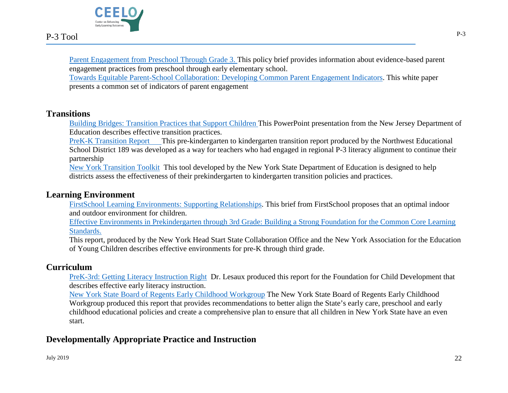

[Parent Engagement from Preschool Through Grade 3.](https://sehd.ucdenver.edu/pthru3/resources/parent-engagement-preschool-through-grade-3) This policy brief provides information about evidence-based parent engagement practices from preschool through early elementary school.

[Towards Equitable Parent-School Collaboration: Developing Common Parent Engagement Indicators.](https://sehd.ucdenver.edu/pthru3/resources/towards-equitable-parent-school-collaboration-developing-common-parent-engagement) This white paper presents a common set of indicators of parent engagement

## <span id="page-22-0"></span>**Transitions**

[Building Bridges: Transition Practices that Support Children](https://www.state.nj.us/education/ece/psguide/transition.pdf) This PowerPoint presentation from the New Jersey Department of Education describes effective transition practices.

[PreK-K Transition Report](https://www.nwesd.org/prek-ktransitionreport/) This pre-kindergarten to kindergarten transition report produced by the Northwest Educational School District 189 was developed as a way for teachers who had engaged in regional P-3 literacy alignment to continue their partnership

[New York Transition Toolkit](http://www.p12.nysed.gov/earlylearning/documents/FinalDistrictPKKTransitionSelfAssessmentmar19FINAL_1.pdf) This tool developed by the New York State Department of Education is designed to help districts assess the effectiveness of their prekindergarten to kindergarten transition policies and practices.

#### <span id="page-22-1"></span>**Learning Environment**

[FirstSchool Learning Environments: Supporting Relationships.](https://sehd.ucdenver.edu/pthru3/resources/firstschool-learning-environments-supporting-relationships) This brief from FirstSchool proposes that an optimal indoor and outdoor environment for children.

[Effective Environments in Prekindergarten through 3rd Grade: Building a Strong Foundation for the Common Core Learning](https://www.ccf.ny.gov/files/2615/2086/8838/environmentSixPageWeb.pdf)  [Standards.](https://www.ccf.ny.gov/files/2615/2086/8838/environmentSixPageWeb.pdf)

This report, produced by the New York Head Start State Collaboration Office and the New York Association for the Education of Young Children describes effective environments for pre-K through third grade.

## <span id="page-22-2"></span>**Curriculum**

[PreK-3rd: Getting Literacy Instruction Right](https://sehd.ucdenver.edu/pthru3/resources/prek-3rd-getting-literacy-instruction-right) Dr. Lesaux produced this report for the Foundation for Child Development that describes effective early literacy instruction.

[New York State Board of Regents Early Childhood Workgroup](http://www.p12.nysed.gov/earlylearning/documents/ECBRCFinalReport2018.pdf) The New York State Board of Regents Early Childhood Workgroup produced this report that provides recommendations to better align the State's early care, preschool and early childhood educational policies and create a comprehensive plan to ensure that all children in New York State have an even start.

## <span id="page-22-3"></span>**Developmentally Appropriate Practice and Instruction**